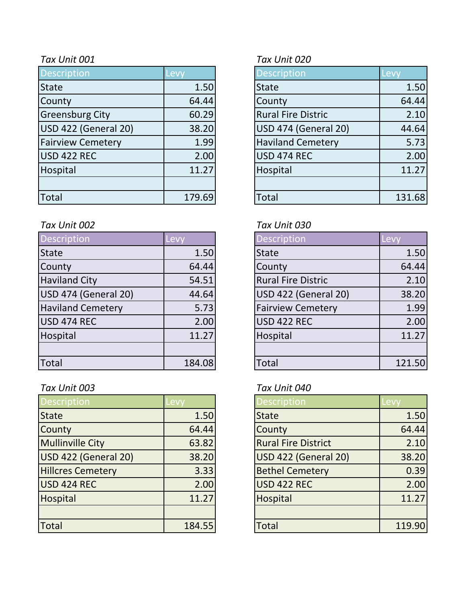| <b>Description</b>       | Levy   | <b>Description</b>        | Levy   |
|--------------------------|--------|---------------------------|--------|
| <b>State</b>             | 1.50   | <b>State</b>              | 1.50   |
| County                   | 64.44  | County                    | 64.44  |
| <b>Greensburg City</b>   | 60.29  | <b>Rural Fire Distric</b> | 2.10   |
| USD 422 (General 20)     | 38.20  | USD 474 (General 20)      | 44.64  |
| <b>Fairview Cemetery</b> | 1.99   | <b>Haviland Cemetery</b>  | 5.73   |
| USD 422 REC              | 2.00   | USD 474 REC               | 2.00   |
| Hospital                 | 11.27  | Hospital                  | 11.27  |
|                          |        |                           |        |
| <b>Total</b>             | 179.69 | <b>Total</b>              | 131.68 |

### *Tax Unit 002 Tax Unit 030*

| <b>Description</b>       | Levy   | <b>Description</b>        | Levy   |
|--------------------------|--------|---------------------------|--------|
| State                    | 1.50   | <b>State</b>              | 1.50   |
| County                   | 64.44  | County                    | 64.44  |
| <b>Haviland City</b>     | 54.51  | <b>Rural Fire Distric</b> | 2.10   |
| USD 474 (General 20)     | 44.64  | USD 422 (General 20)      | 38.20  |
| <b>Haviland Cemetery</b> | 5.73   | <b>Fairview Cemetery</b>  | 1.99   |
| USD 474 REC              | 2.00   | <b>USD 422 REC</b>        | 2.00   |
| Hospital                 | 11.27  | Hospital                  | 11.27  |
|                          |        |                           |        |
| Total                    | 184.08 | Total                     | 121.50 |

# *Tax Unit 003 Tax Unit 040*

| Description              | Levy   | <b>Description</b>         | Levy   |
|--------------------------|--------|----------------------------|--------|
| <b>State</b>             | 1.50   | <b>State</b>               | 1.50   |
| County                   | 64.44  | County                     | 64.44  |
| <b>Mullinville City</b>  | 63.82  | <b>Rural Fire District</b> | 2.10   |
| USD 422 (General 20)     | 38.20  | USD 422 (General 20)       | 38.20  |
| <b>Hillcres Cemetery</b> | 3.33   | <b>Bethel Cemetery</b>     | 0.39   |
| USD 424 REC              | 2.00   | <b>USD 422 REC</b>         | 2.00   |
| Hospital                 | 11.27  | Hospital                   | 11.27  |
|                          |        |                            |        |
| Total                    | 184.55 | <b>Total</b>               | 119.90 |

## *Tax Unit 001 Tax Unit 020*

| <b>Description</b>          | Levy   |
|-----------------------------|--------|
| <b>State</b>                | 1.50   |
| County                      | 64.44  |
| <b>Rural Fire Distric</b>   | 2.10   |
| <b>USD 474 (General 20)</b> | 44.64  |
| <b>Haviland Cemetery</b>    | 5.73   |
| <b>USD 474 REC</b>          | 2.00   |
| Hospital                    | 11.27  |
|                             |        |
| `otal                       | 131.68 |

| <b>Description</b>        | Lev    |
|---------------------------|--------|
| <b>State</b>              | 1.50   |
| County                    | 64.44  |
| <b>Rural Fire Distric</b> | 2.10   |
| USD 422 (General 20)      | 38.20  |
| <b>Fairview Cemetery</b>  | 1.99   |
| <b>USD 422 REC</b>        | 2.00   |
| Hospital                  | 11.27  |
|                           |        |
| Total                     | 121.50 |

| <b>Description</b>          | Levv  |
|-----------------------------|-------|
| <b>State</b>                | 1.50  |
| County                      | 64.44 |
| <b>Rural Fire District</b>  | 2.10  |
| <b>USD 422 (General 20)</b> | 38.20 |
| <b>Bethel Cemetery</b>      | 0.39  |
| <b>USD 422 REC</b>          | 2.00  |
| Hospital                    | 11.27 |
|                             |       |
| <b>Total</b>                | 119.9 |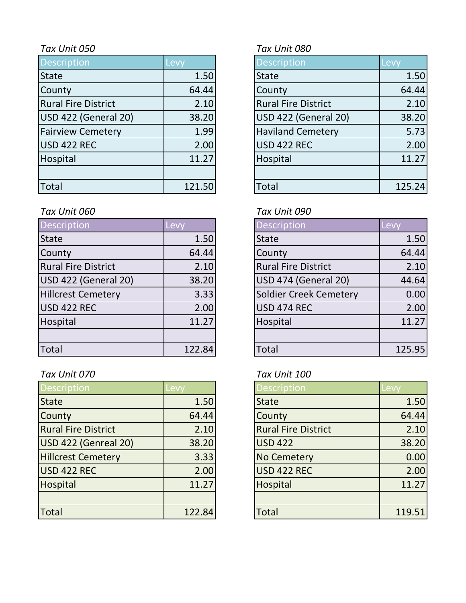| Description                | Levy   | <b>Description</b>         | Levy   |
|----------------------------|--------|----------------------------|--------|
| <b>State</b>               | 1.50   | <b>State</b>               | 1.50   |
| County                     | 64.44  | County                     | 64.44  |
| <b>Rural Fire District</b> | 2.10   | <b>Rural Fire District</b> | 2.10   |
| USD 422 (General 20)       | 38.20  | USD 422 (General 20)       | 38.20  |
| <b>Fairview Cemetery</b>   | 1.99   | <b>Haviland Cemetery</b>   | 5.73   |
| USD 422 REC                | 2.00   | <b>USD 422 REC</b>         | 2.00   |
| Hospital                   | 11.27  | Hospital                   | 11.27  |
|                            |        |                            |        |
| Total                      | 121.50 | <b>Total</b>               | 125.24 |

# *Tax Unit 060 Tax Unit 090*

| Description                | Levy   | <b>Description</b>         | Levy   |
|----------------------------|--------|----------------------------|--------|
| <b>State</b>               | 1.50   | <b>State</b>               | 1.50   |
| County                     | 64.44  | County                     | 64.44  |
| <b>Rural Fire District</b> | 2.10   | <b>Rural Fire District</b> | 2.10   |
| USD 422 (General 20)       | 38.20  | USD 474 (General 20)       | 44.64  |
| <b>Hillcrest Cemetery</b>  | 3.33   | Soldier Creek Cemetery     | 0.00   |
| USD 422 REC                | 2.00   | <b>USD 474 REC</b>         | 2.00   |
| Hospital                   | 11.27  | Hospital                   | 11.27  |
|                            |        |                            |        |
| Total                      | 122.84 | Total                      | 125.95 |

# *Tax Unit 070 Tax Unit 100*

| <b>Description</b>         | Levv   | <b>Description</b>         | Levy   |
|----------------------------|--------|----------------------------|--------|
| <b>State</b>               | 1.50   | <b>State</b>               | 1.50   |
| County                     | 64.44  | County                     | 64.44  |
| <b>Rural Fire District</b> | 2.10   | <b>Rural Fire District</b> | 2.10   |
| USD 422 (Genreal 20)       | 38.20  | <b>USD 422</b>             | 38.20  |
| <b>Hillcrest Cemetery</b>  | 3.33   | <b>No Cemetery</b>         | 0.00   |
| USD 422 REC                | 2.00   | <b>USD 422 REC</b>         | 2.00   |
| Hospital                   | 11.27  | Hospital                   | 11.27  |
|                            |        |                            |        |
| Total                      | 122.84 | <b>Total</b>               | 119.51 |

# *Tax Unit 050 Tax Unit 080*

| <b>Description</b>          | Levy   |
|-----------------------------|--------|
| <b>State</b>                | 1.50   |
| County                      | 64.44  |
| <b>Rural Fire District</b>  | 2.10   |
| <b>USD 422 (General 20)</b> | 38.20  |
| <b>Haviland Cemetery</b>    | 5.73   |
| <b>USD 422 REC</b>          | 2.00   |
| Hospital                    | 11.27  |
|                             |        |
| otal.                       | 125.24 |

| Description                   | Levy   |
|-------------------------------|--------|
| <b>State</b>                  | 1.50   |
| County                        | 64.44  |
| <b>Rural Fire District</b>    | 2.10   |
| <b>USD 474 (General 20)</b>   | 44.64  |
| <b>Soldier Creek Cemetery</b> | 0.00   |
| <b>USD 474 REC</b>            | 2.00   |
| Hospital                      | 11.27  |
|                               |        |
| Total                         | 125.95 |

| Description                | Levv   |
|----------------------------|--------|
| <b>State</b>               | 1.50   |
| County                     | 64.44  |
| <b>Rural Fire District</b> | 2.10   |
| <b>USD 422</b>             | 38.20  |
| <b>No Cemetery</b>         | 0.00   |
| <b>USD 422 REC</b>         | 2.00   |
| Hospital                   | 11.27  |
|                            |        |
| <b>Total</b>               | 119.51 |